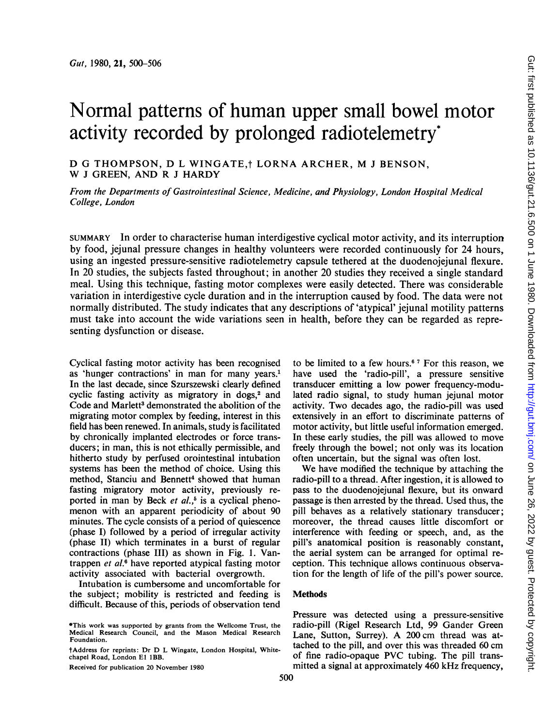# activity recorded by prolonged radiotelemetry\* D G THOMPSON, D L WINGATE,<sup>†</sup> LORNA ARCHER, M J BENSON,

W <sup>J</sup> GREEN, AND R <sup>J</sup> HARDY

From the Departments of Gastrointestinal Science, Medicine, and Physiology, London Hospital Medical College, London

SUMMARY In order to characterise human interdigestive cyclical motor activity, and its interruption by food, jejunal pressure changes in healthy volunteers were recorded continuously for 24 hours, using an ingested pressure-sensitive radiotelemetry capsule tethered at the duodenojejunal flexure. In 20 studies, the subjects fasted throughout; in another 20 studies they received a single standard meal. Using this technique, fasting motor complexes were easily detected. There was considerable variation in interdigestive cycle duration and in the interruption caused by food. The data were not normally distributed. The study indicates that any descriptions of 'atypical' jejunal motility patterns must take into account the wide variations seen in health, before they can be regarded as representing dysfunction or disease.

Cyclical fasting motor activity has been recognised as 'hunger contractions' in man for many years.' In the last decade, since Szurszewski clearly defined cyclic fasting activity as migratory in dogs,<sup>2</sup> and Code and Marlett<sup>3</sup> demonstrated the abolition of the migrating motor complex by feeding, interest in this field has been renewed. In animals, study is facilitated by chronically implanted electrodes or force transducers; in man, this is not ethically permissible, and hitherto study by perfused orointestinal intubation systems has been the method of choice. Using this method, Stanciu and Bennett<sup>4</sup> showed that human fasting migratory motor activity, previously reported in man by Beck et  $al.^5$  is a cyclical phenomenon with an apparent periodicity of about 90 minutes. The cycle consists of a period of quiescence (phase I) followed by a period of irregular activity (phase II) which terminates in a burst of regular contractions (phase III) as shown in Fig. 1. Vantrappen *et al.*<sup>6</sup> have reported atypical fasting motor activity associated with bacterial overgrowth.

Intubation is cumbersome and uncomfortable for the subject; mobility is restricted and feeding is difficult. Because of this, periods of observation tend

500

to be limited to a few hours.6 <sup>7</sup> For this reason, we have used the 'radio-pill', a pressure sensitive transducer emitting a low power frequency-modulated radio signal, to study human jejunal motor activity. Two decades ago, the radio-pill was used extensively in an effort to discriminate patterns of motor activity, but little useful information emerged. In these early studies, the pill was allowed to move freely through the bowel; not only was its location often uncertain, but the signal was often lost.

We have modified the technique by attaching the radio-pill to a thread. After ingestion, it is allowed to pass to the duodenojejunal flexure, but its onward passage is then arrested by the thread. Used thus, the pill behaves as a relatively stationary transducer; moreover, the thread causes little discomfort or interference with feeding or speech, and, as the pill's anatomical position is reasonably constant, the aerial system can be arranged for optimal reception. This technique allows continuous observation for the length of life of the pill's power source.

### **Methods**

Pressure was detected using a pressure-sensitive radio-pill (Rigel Research Ltd, 99 Gander Green Lane, Sutton, Surrey). A <sup>200</sup> cm thread was attached to the pill, and over this was threaded 60 cm of fine radio-opaque PVC tubing. The pill transmitted a signal at approximately 460 kHz frequency,

<sup>\*</sup>This work was supported by grants from the Wellcome Trust, the Medical Research Council, and the Mason Medical Research Foundation.

tAddress for reprints: Dr D L Wingate, London Hospital, Whitechapel Road, London El 1BB.

Received for publication 20 November 1980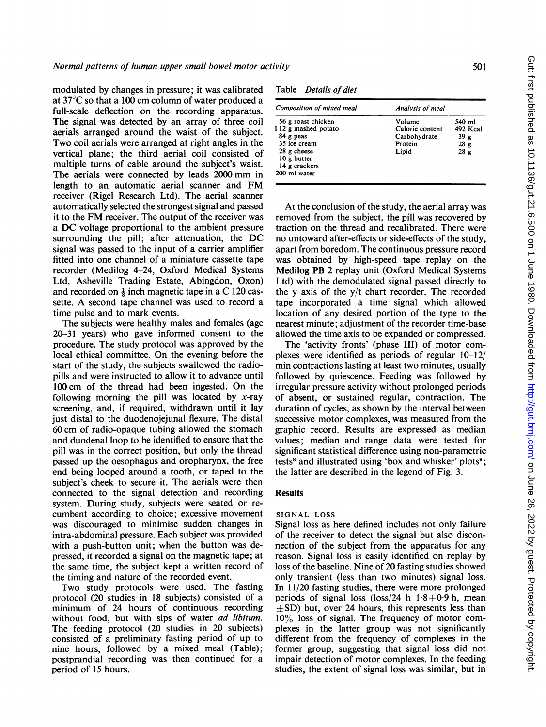modulated by changes in pressure; it was calibrated at 37°C so that a 100 cm column of water produced a full-scale deflection on the recording apparatus. The signal was detected by an array of three coil aerials arranged around the waist of the subject. Two coil aerials were arranged at right angles in the vertical plane; the third aerial coil consisted of multiple turns of cable around the subject's waist. The aerials were connected by leads <sup>2000</sup> mm in length to an automatic aerial scanner and FM receiver (Rigel Research Ltd). The aerial scanner automatically selected the strongest signal and passed it to the FM receiver. The output of the receiver was <sup>a</sup> DC voltage proportional to the ambient pressure surrounding the pill; after attenuation, the DC signal was passed to the input of a carrier amplifier fitted into one channel of a miniature cassette tape recorder (Medilog 4-24, Oxford Medical Systems Ltd, Asheville Trading Estate, Abingdon, Oxon) and recorded on  $\frac{1}{8}$  inch magnetic tape in a C 120 cassette. A second tape channel was used to record <sup>a</sup> time pulse and to mark events.

The subjects were healthy males and females (age 20-31 years) who gave informed consent to the procedure. The study protocol was approved by the local ethical committee. On the evening before the start of the study, the subjects swallowed the radiopills and were instructed to allow it to advance until 100 cm of the thread had been ingested. On the following morning the pill was located by  $x$ -ray screening, and, if required, withdrawn until it lay just distal to the duodenojejunal flexure. The distal 60 cm of radio-opaque tubing allowed the stomach and duodenal loop to be identified to ensure that the pill was in the correct position, but only the thread passed up the oesophagus and oropharynx, the free end being looped around a tooth, or taped to the subject's cheek to secure it. The aerials were then connected to the signal detection and recording system. During study, subjects were seated or recumbent according to choice; excessive movement was discouraged to minimise sudden changes in intra-abdominal pressure. Each subject was provided with a push-button unit; when the button was depressed, it recorded a signal on the magnetic tape; at the same time, the subject kept a written record of the timing and nature of the recorded event.

Two study protocols were used. The fasting protocol (20 studies in 18 subjects) consisted of a minimum of 24 hours of continuous recording without food, but with sips of water *ad libitum*. The feeding protocol (20 studies in 20 subjects) consisted of a preliminary fasting period of up to nine hours, followed by a mixed meal (Table); postprandial recording was then continued for a period of 15 hours.

Table Details of diet

| Composition of mixed meal | Analysis of meal |                 |
|---------------------------|------------------|-----------------|
| 56 g roast chicken        | Volume           | 540 ml          |
| 112 g mashed potato       | Calorie content  | 492 Kcal        |
| 84 g peas                 | Carbohydrate     | 39 <sub>g</sub> |
| 35 ice cream              | Protein          | 28 <sub>g</sub> |
| $28$ g cheese             | Lipid            | 28g             |
| 10 g butter               |                  |                 |
| 14 g crackers             |                  |                 |
| 200 ml water              |                  |                 |

At the conclusion of the study, the aerial array was removed from the subject, the pill was recovered by traction on the thread and recalibrated. There were no untoward after-effects or side-effects of the study, apart from boredom. The continuous pressure record was obtained by high-speed tape replay on the Medilog PB 2 replay unit (Oxford Medical Systems Ltd) with the demodulated signal passed directly to the y axis of the y/t chart recorder. The recorded tape incorporated a time signal which allowed location of any desired portion of the type to the nearest minute; adjustment of the recorder time-base allowed the time axis to be expanded or compressed.

The 'activity fronts' (phase III) of motor complexes were identified as periods of regular 10-12/ min contractions lasting at least two minutes, usually followed by quiescence. Feeding was followed by irregular pressure activity without prolonged periods of absent, or sustained regular, contraction. The duration of cycles, as shown by the interval between successive motor complexes, was measured from the graphic record. Results are expressed as median values; median and range data were tested for significant statistical difference using non-parametric tests<sup>8</sup> and illustrated using 'box and whisker' plots<sup>9</sup>; the latter are described in the legend of Fig. 3.

#### **Results**

## SIGNAL LOSS

Signal loss as here defined includes not only failure of the receiver to detect the signal but also disconnection of the subject from the apparatus for any reason. Signal loss is easily identified on replay by loss of the baseline. Nine of 20 fasting studies showed only transient (less than two minutes) signal loss. In 11/20 fasting studies, there were more prolonged periods of signal loss (loss/24 h  $1.8 \pm 0.9$  h, mean  $\pm$ SD) but, over 24 hours, this represents less than  $10\%$  loss of signal. The frequency of motor complexes in the latter group was not significantly different from the frequency of complexes in the former group, suggesting that signal loss did not impair detection of motor complexes. In the feeding studies, the extent of signal loss was similar, but in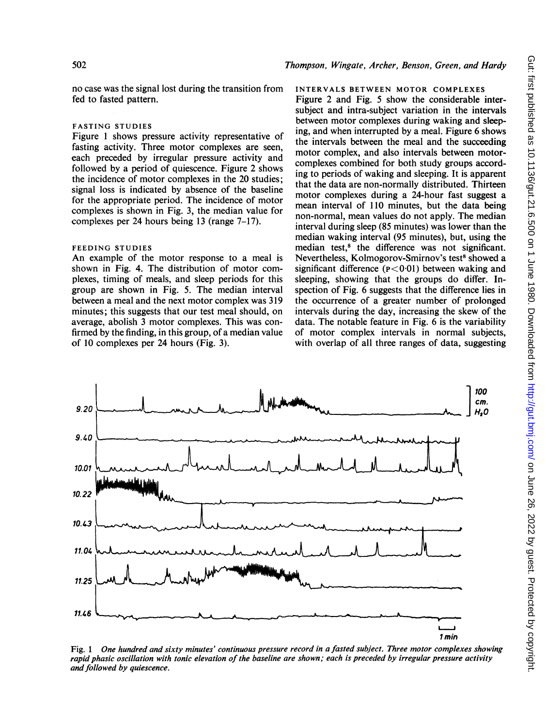## Thompson, Wingate, Archer, Benson, Green, and Hardy

no case was the signal lost during the transition from fed to fasted pattern.

#### FASTING STUDIES

Figure <sup>1</sup> shows pressure activity representative of fasting activity. Three motor complexes are seen, each preceded by irregular pressure activity and followed by a period of quiescence. Figure 2 shows the incidence of motor complexes in the 20 studies; signal loss is indicated by absence of the baseline for the appropriate period. The incidence of motor complexes is shown in Fig. 3, the median value for complexes per 24 hours being 13 (range 7-17).

#### FEEDING STUDIES

An example of the motor response to a meal is shown in Fig. 4. The distribution of motor complexes, timing of meals, and sleep periods for this group are shown in Fig. 5. The median interval between a meal and the next motor complex was 319 minutes; this suggests that our test meal should, on average, abolish 3 motor complexes. This was confirmed by the finding, in this group, of a median value of 10 complexes per 24 hours (Fig. 3).

#### INTERVALS BETWEEN MOTOR COMPLEXES

Figure 2 and Fig. 5 show the considerable intersubject and intra-subject variation in the intervals between motor complexes during waking and sleeping, and when interrupted by a meal. Figure 6 shows the intervals between the meal and the succeeding motor complex, and also intervals between motorcomplexes combined for both study groups according to periods of waking and sleeping. It is apparent that the data are non-normally distributed. Thirteen motor complexes during a 24-hour fast suggest a mean interval of 110 minutes, but the data being non-normal, mean values do not apply. The median interval during sleep (85 minutes) was lower than the median waking interval (95 minutes), but, using the median test,<sup>8</sup> the difference was not significant. Nevertheless, Kolmogorov-Smirnov's test<sup>8</sup> showed a significant difference  $(p<0.01)$  between waking and sleeping, showing that the groups do differ. Inspection of Fig. 6 suggests that the difference lies in the occurrence of a greater number of prolonged intervals during the day, increasing the skew of the data. The notable feature in Fig. 6 is the variability of motor complex intervals in normal subjects, with overlap of all three ranges of data, suggesting



Fig. <sup>1</sup> One hundred and sixty minutes' continuous pressure record in a fasted subiect. Three motor complexes showing rapid phasic oscillation with tonic elevation of the baseline are shown; each is preceded by irregular pressure activity and followed by quiescence.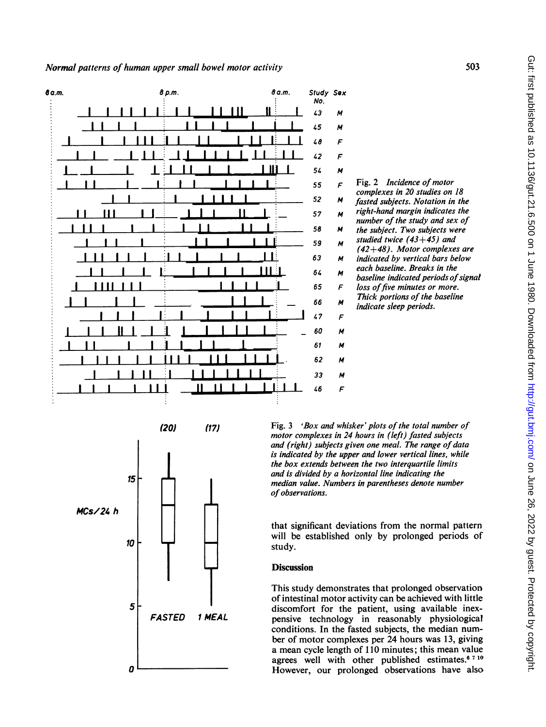



Fig. <sup>3</sup> 'Box and whisker' plots of the total number of motor complexes in 24 hours in (left) fasted subjects and (right) subjects given one meal. The range of data is indicated by the upper and lower vertical lines, while the box extends between the two interquartile limits and is divided by a horizontal line indicating the median value. Numbers in parentheses denote number of observations.

that significant deviations from the normal pattern will be established only by prolonged periods of study.

# **Discussion**

This study demonstrates that prolonged observation of intestinal motor activity can be achieved with little discomfort for the patient, using available inexpensive technology in reasonably physiological conditions. In the fasted subjects, the median number of motor complexes per 24 hours was 13, giving a mean cycle length of 110 minutes; this mean value agrees well with other published estimates.<sup>6 7 10</sup> However, our prolonged observations have also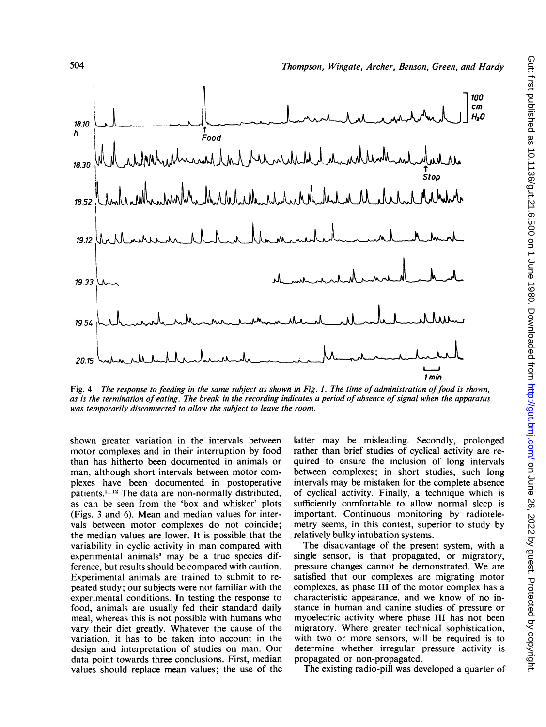

Fig. 4 The response to feeding in the same subject as shown in Fig. 1. The time of administration of food is shown, as is the termination of eating. The break in the recording indicates a period of absence of signal when the apparatus was temporarily disconnected to allow the subject to leave the room.

shown greater variation in the intervals between motor complexes and in their interruption by food than has hitherto been documented in animals or man, although short intervals between motor complexes have been documented in postoperative patients.<sup>11 12</sup> The data are non-normally distributed, as can be seen from the 'box and whisker' plots (Figs. <sup>3</sup> and 6). Mean and median values for intervals between motor complexes do not coincide; the median values are lower. It is possible that the variability in cyclic activity in man compared with experimental animals<sup>3</sup> may be a true species difference, but results should be compared with caution. Experimental animals are trained to submit to repeated study; our subjects were not familiar with the experimental conditions. In testing the response to food, animals are usually fed their standard daily meal, whereas this is not possible with humans who vary their diet greatly. Whatever the cause of the variation, it has to be taken into account in the design and interpretation of studies on man. Our data point towards three conclusions. First, median values should replace mean values; the use of the latter may be misleading. Secondly, prolonged rather than brief studies of cyclical activity are required to ensure the inclusion of long intervals between complexes; in short studies, such long intervals may be mistaken for the complete absence of cyclical activity. Finally, a technique which is sufficiently comfortable to allow normal sleep is important. Continuous monitoring by radiotelemetry seems, in this contest, superior to study by relatively bulky intubation systems.

The disadvantage of the present system, with a single sensor, is that propagated, or migratory, pressure changes cannot be demonstrated. We are satisfied that our complexes are migrating motor complexes, as phase III of the motor complex has a characteristic appearance, and we know of no instance in human and canine studies of pressure or myoelectric activity where phase III has not been migratory. Where greater technical sophistication, with two or more sensors, will be required is to determine whether irregular pressure activity is propagated or non-propagated.

The existing radio-pill was developed a quarter of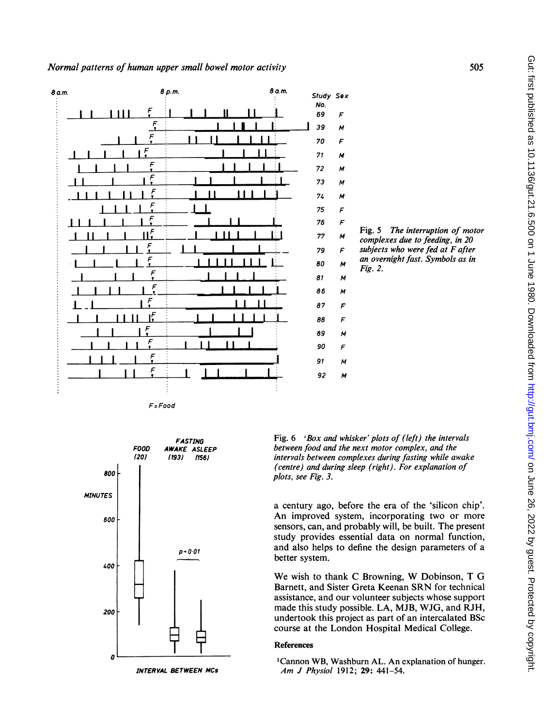

F= Food



Fig. 6 'Box and whisker' plots of (left) the intervals between food and the next motor complex, and the intervals between complexes during fasting while awake (centre) and during sleep (right). For explanation of plots, see Fig. 3.

a century ago, before the era of the 'silicon chip'. An improved system, incorporating two or more sensors, can, and probably will, be built. The present study provides essential data on normal function, and also helps to define the design parameters of a better system.

We wish to thank <sup>C</sup> Browning, W Dobinson, <sup>T</sup> G Barnett, and Sister Greta Keenan SRN for technical assistance, and our volunteer subjects whose support made this study possible. LA, MJB, WJG, and RJH, undertook this project as part of an intercalated BSc course at the London Hospital Medical College.

#### References

'Cannon WB, Washburn AL. An explanation of hunger. Am J Physiol 1912; 29: 441-54.